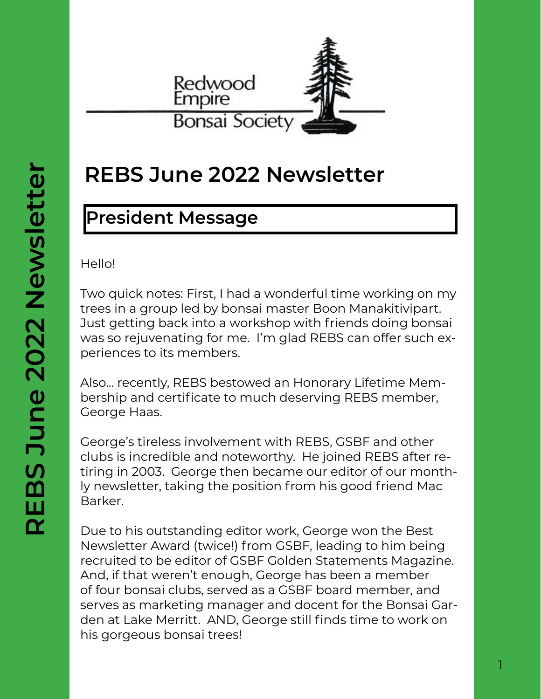

# **REBS June 2022 Newsletter**

# **President Message**

Hello!

Two quick notes: First, I had a wonderful time working on my trees in a group led by bonsai master Boon Manakitivipart. Just getting back into a workshop with friends doing bonsai was so rejuvenating for me. I'm glad REBS can offer such experiences to its members.

Also… recently, REBS bestowed an Honorary Lifetime Membership and certificate to much deserving REBS member, George Haas.

George's tireless involvement with REBS, GSBF and other clubs is incredible and noteworthy. He joined REBS after retiring in 2003. George then became our editor of our monthly newsletter, taking the position from his good friend Mac Barker.

Due to his outstanding editor work, George won the Best Newsletter Award (twice!) from GSBF, leading to him being recruited to be editor of GSBF Golden Statements Magazine. And, if that weren't enough, George has been a member of four bonsai clubs, served as a GSBF board member, and serves as marketing manager and docent for the Bonsai Garden at Lake Merritt. AND, George still finds time to work on his gorgeous bonsai trees!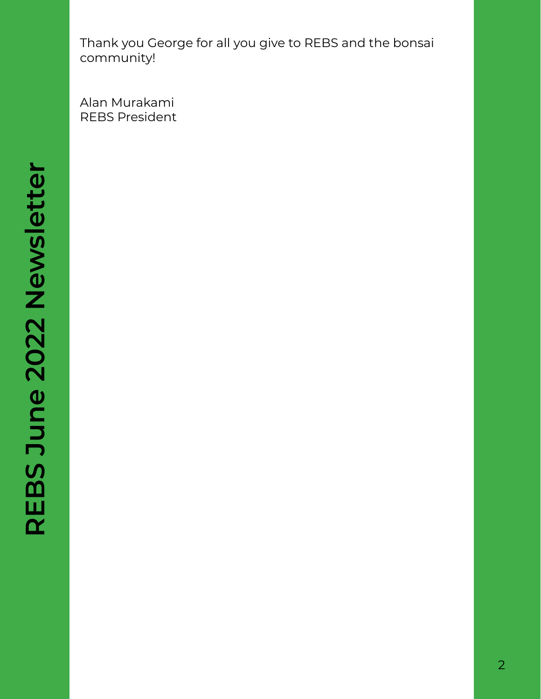Thank you George for all you give to REBS and the bonsai community!

Alan Murakami REBS President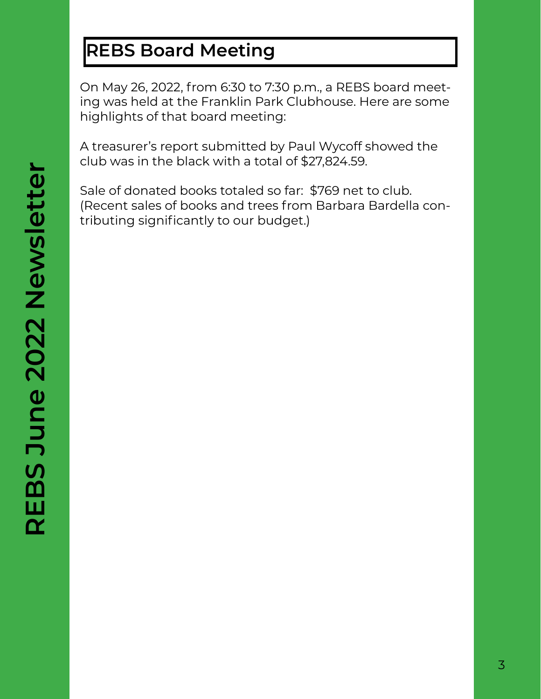# **REBS Board Meeting**

On May 26, 2022, from 6:30 to 7:30 p.m., a REBS board meeting was held at the Franklin Park Clubhouse. Here are some highlights of that board meeting:

A treasurer's report submitted by Paul Wycoff showed the club was in the black with a total of \$27,824.59.

Sale of donated books totaled so far: \$769 net to club. (Recent sales of books and trees from Barbara Bardella contributing significantly to our budget.)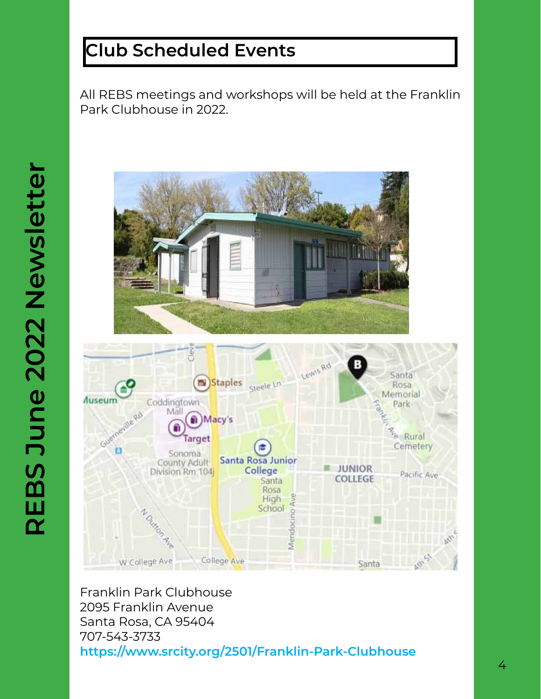# **Club Scheduled Events**

All REBS meetings and workshops will be held at the Franklin Park Clubhouse in 2022.





Franklin Park Clubhouse 2095 Franklin Avenue Santa Rosa, CA 95404 707-543-3733 **https://www.srcity.org/2501/Franklin-Park-Clubhouse**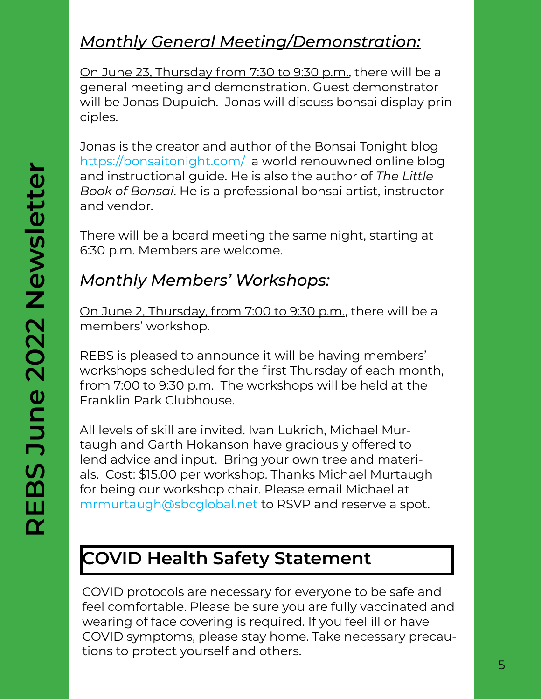# *Monthly General Meeting/Demonstration:*

On June 23, Thursday from 7:30 to 9:30 p.m., there will be a general meeting and demonstration. Guest demonstrator will be Jonas Dupuich. Jonas will discuss bonsai display principles.

Jonas is the creator and author of the Bonsai Tonight blog https://bonsaitonight.com/ a world renouwned online blog and instructional guide. He is also the author of *The Little Book of Bonsai*. He is a professional bonsai artist, instructor and vendor.

There will be a board meeting the same night, starting at 6:30 p.m. Members are welcome.

## *Monthly Members' Workshops:*

On June 2, Thursday, from 7:00 to 9:30 p.m., there will be a members' workshop.

REBS is pleased to announce it will be having members' workshops scheduled for the first Thursday of each month, from 7:00 to 9:30 p.m. The workshops will be held at the Franklin Park Clubhouse.

All levels of skill are invited. Ivan Lukrich, Michael Murtaugh and Garth Hokanson have graciously offered to lend advice and input. Bring your own tree and materials. Cost: \$15.00 per workshop. Thanks Michael Murtaugh for being our workshop chair. Please email Michael at mrmurtaugh@sbcglobal.net to RSVP and reserve a spot.

# **COVID Health Safety Statement**

COVID protocols are necessary for everyone to be safe and feel comfortable. Please be sure you are fully vaccinated and wearing of face covering is required. If you feel ill or have COVID symptoms, please stay home. Take necessary precautions to protect yourself and others.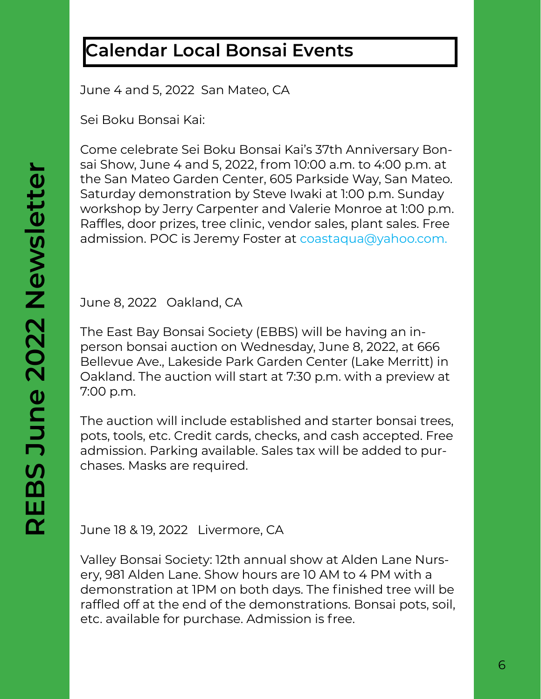# **Calendar Local Bonsai Events**

June 4 and 5, 2022 San Mateo, CA

Sei Boku Bonsai Kai:

Come celebrate Sei Boku Bonsai Kai's 37th Anniversary Bonsai Show, June 4 and 5, 2022, from 10:00 a.m. to 4:00 p.m. at the San Mateo Garden Center, 605 Parkside Way, San Mateo. Saturday demonstration by Steve Iwaki at 1:00 p.m. Sunday workshop by Jerry Carpenter and Valerie Monroe at 1:00 p.m. Raffles, door prizes, tree clinic, vendor sales, plant sales. Free admission. POC is Jeremy Foster at coastaqua@yahoo.com.

June 8, 2022 Oakland, CA

The East Bay Bonsai Society (EBBS) will be having an inperson bonsai auction on Wednesday, June 8, 2022, at 666 Bellevue Ave., Lakeside Park Garden Center (Lake Merritt) in Oakland. The auction will start at 7:30 p.m. with a preview at 7:00 p.m.

The auction will include established and starter bonsai trees, pots, tools, etc. Credit cards, checks, and cash accepted. Free admission. Parking available. Sales tax will be added to purchases. Masks are required.

June 18 & 19, 2022 Livermore, CA

Valley Bonsai Society: 12th annual show at Alden Lane Nursery, 981 Alden Lane. Show hours are 10 AM to 4 PM with a demonstration at 1PM on both days. The finished tree will be raffled off at the end of the demonstrations. Bonsai pots, soil, etc. available for purchase. Admission is free.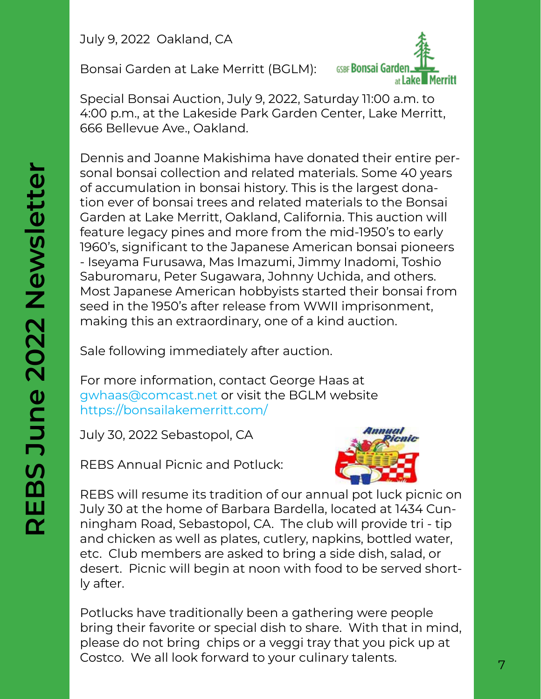July 9, 2022 Oakland, CA

Bonsai Garden at Lake Merritt (BGLM):



Special Bonsai Auction, July 9, 2022, Saturday 11:00 a.m. to 4:00 p.m., at the Lakeside Park Garden Center, Lake Merritt, 666 Bellevue Ave., Oakland.

Dennis and Joanne Makishima have donated their entire personal bonsai collection and related materials. Some 40 years of accumulation in bonsai history. This is the largest donation ever of bonsai trees and related materials to the Bonsai Garden at Lake Merritt, Oakland, California. This auction will feature legacy pines and more from the mid-1950's to early 1960's, significant to the Japanese American bonsai pioneers - Iseyama Furusawa, Mas Imazumi, Jimmy Inadomi, Toshio Saburomaru, Peter Sugawara, Johnny Uchida, and others. Most Japanese American hobbyists started their bonsai from seed in the 1950's after release from WWII imprisonment, making this an extraordinary, one of a kind auction.

Sale following immediately after auction.

For more information, contact George Haas at gwhaas@comcast.net or visit the BGLM website https://bonsailakemerritt.com/

July 30, 2022 Sebastopol, CA

REBS Annual Picnic and Potluck:



REBS will resume its tradition of our annual pot luck picnic on July 30 at the home of Barbara Bardella, located at 1434 Cunningham Road, Sebastopol, CA. The club will provide tri - tip and chicken as well as plates, cutlery, napkins, bottled water, etc. Club members are asked to bring a side dish, salad, or desert. Picnic will begin at noon with food to be served shortly after.

Potlucks have traditionally been a gathering were people bring their favorite or special dish to share. With that in mind, please do not bring chips or a veggi tray that you pick up at Costco. We all look forward to your culinary talents.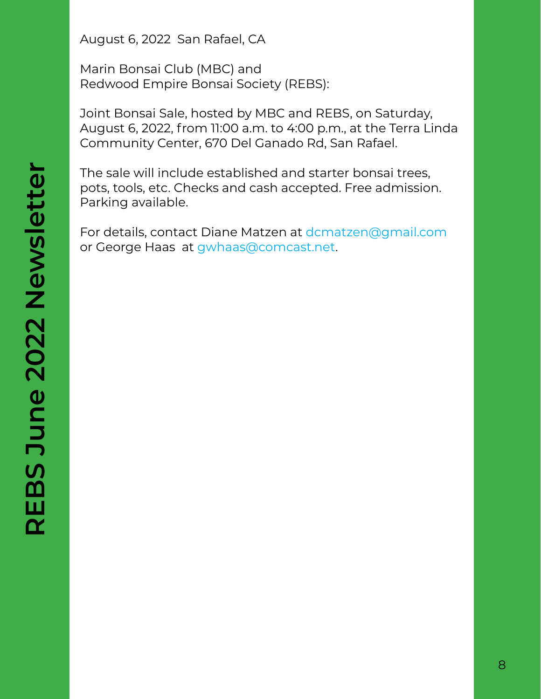August 6, 2022 San Rafael, CA

Marin Bonsai Club (MBC) and Redwood Empire Bonsai Society (REBS):

Joint Bonsai Sale, hosted by MBC and REBS, on Saturday, August 6, 2022, from 11:00 a.m. to 4:00 p.m., at the Terra Linda Community Center, 670 Del Ganado Rd, San Rafael.

The sale will include established and starter bonsai trees, pots, tools, etc. Checks and cash accepted. Free admission. Parking available.

For details, contact Diane Matzen at dcmatzen@gmail.com or George Haas at gwhaas@comcast.net.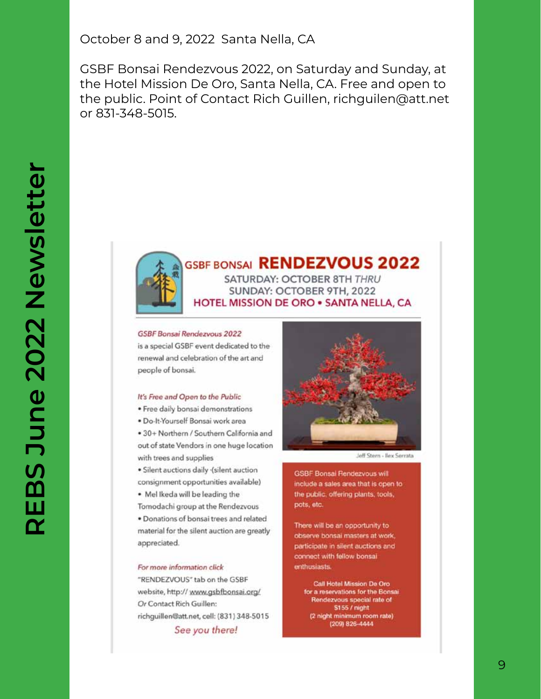October 8 and 9, 2022 Santa Nella, CA

GSBF Bonsai Rendezvous 2022, on Saturday and Sunday, at the Hotel Mission De Oro, Santa Nella, CA. Free and open to the public. Point of Contact Rich Guillen, richguilen@att.net or 831-348-5015.



#### **GSBF BONSAI RENDEZVOUS 2022** SATURDAY: OCTOBER 8TH THRU

SUNDAY: OCTOBER 9TH, 2022 **HOTEL MISSION DE ORO . SANTA NELLA, CA.** 

#### **GSBF Bonsai Rendezvous 2022**

is a special GSBF event dedicated to the renewal and celebration of the art and people of bonsai.

#### It's Free and Open to the Public

- · Free daily bonsai demonstrations
- · Do-It-Yourself Bonsai work area

. 30+ Northern / Southern California and out of state Vendors in one huge location with trees and supplies

· Silent auctions daily (silent auction consignment opportunities available)

- . Mel Ikeda will be leading the
- Tomodachi group at the Rendezvous

· Donations of bonsai trees and related material for the silent auction are greatly appreciated.

#### For more information click

"RENDEZVOUS" tab on the GSBF website, http://www.gsbfbonsai.org/ Or Contact Rich Guillen: richguillen@att.net, cell: (831) 348-5015 See you there!



Jeff Stern - Bey Serrata

**GSBF Bonsal Fendezvous will** include a sales area that is open to the public, offering plants, tools, pots, etc.

There will be an opportunity to observe bonsai masters at work, participate in silent auctions and connect with fellow bonsai enthusiasts.

> Call Hotel Mission De Oro for a reservations for the Bonsai Rendezvous special rate of \$155 / night (2 night minimum room rate)<br>(209) 826-4444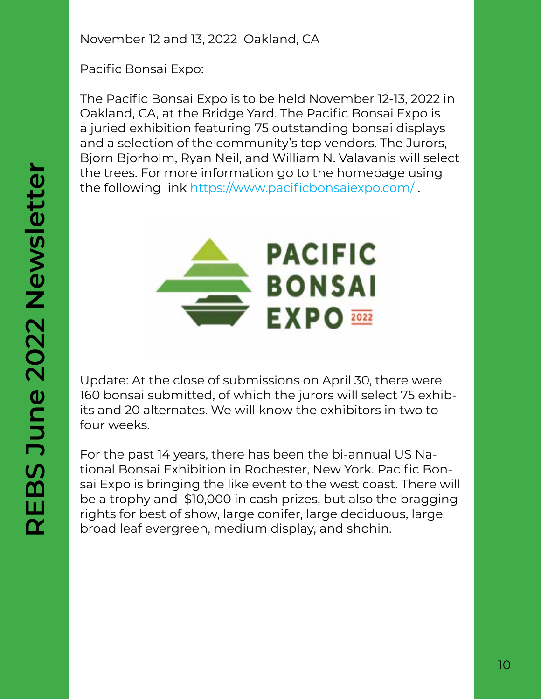November 12 and 13, 2022 Oakland, CA

Pacific Bonsai Expo:

The Pacific Bonsai Expo is to be held November 12-13, 2022 in Oakland, CA, at the Bridge Yard. The Pacific Bonsai Expo is a juried exhibition featuring 75 outstanding bonsai displays and a selection of the community's top vendors. The Jurors, Bjorn Bjorholm, Ryan Neil, and William N. Valavanis will select the trees. For more information go to the homepage using the following link https://www.pacificbonsaiexpo.com/ .



Update: At the close of submissions on April 30, there were 160 bonsai submitted, of which the jurors will select 75 exhibits and 20 alternates. We will know the exhibitors in two to four weeks.

For the past 14 years, there has been the bi-annual US National Bonsai Exhibition in Rochester, New York. Pacific Bonsai Expo is bringing the like event to the west coast. There will be a trophy and \$10,000 in cash prizes, but also the bragging rights for best of show, large conifer, large deciduous, large broad leaf evergreen, medium display, and shohin.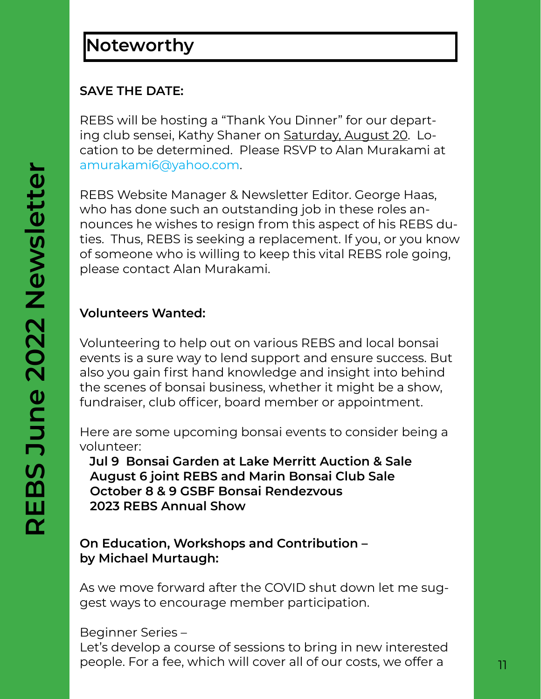# **Noteworthy**

### **SAVE THE DATE:**

REBS will be hosting a "Thank You Dinner" for our departing club sensei, Kathy Shaner on Saturday, August 20. Location to be determined. Please RSVP to Alan Murakami at amurakami6@yahoo.com.

REBS Website Manager & Newsletter Editor. George Haas, who has done such an outstanding job in these roles announces he wishes to resign from this aspect of his REBS duties. Thus, REBS is seeking a replacement. If you, or you know of someone who is willing to keep this vital REBS role going, please contact Alan Murakami.

### **Volunteers Wanted:**

Volunteering to help out on various REBS and local bonsai events is a sure way to lend support and ensure success. But also you gain first hand knowledge and insight into behind the scenes of bonsai business, whether it might be a show, fundraiser, club officer, board member or appointment.

Here are some upcoming bonsai events to consider being a volunteer:

 **Jul 9 Bonsai Garden at Lake Merritt Auction & Sale August 6 joint REBS and Marin Bonsai Club Sale October 8 & 9 GSBF Bonsai Rendezvous 2023 REBS Annual Show**

### **On Education, Workshops and Contribution – by Michael Murtaugh:**

As we move forward after the COVID shut down let me suggest ways to encourage member participation.

Beginner Series –

Let's develop a course of sessions to bring in new interested people. For a fee, which will cover all of our costs, we offer a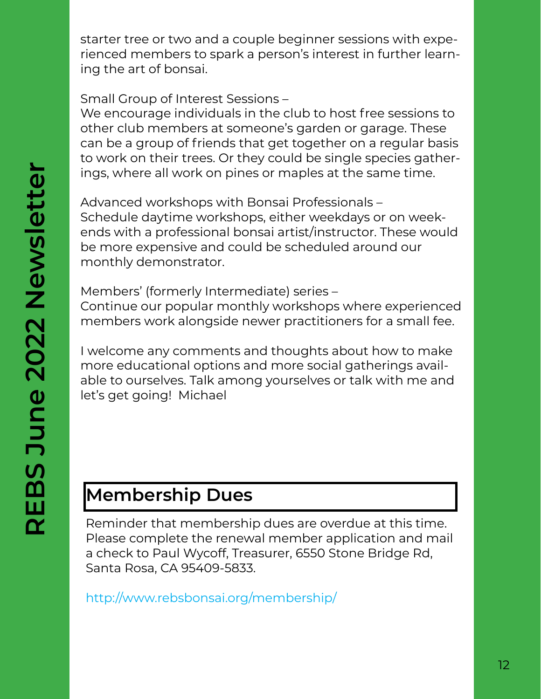starter tree or two and a couple beginner sessions with experienced members to spark a person's interest in further learning the art of bonsai.

Small Group of Interest Sessions –

We encourage individuals in the club to host free sessions to other club members at someone's garden or garage. These can be a group of friends that get together on a regular basis to work on their trees. Or they could be single species gatherings, where all work on pines or maples at the same time.

Advanced workshops with Bonsai Professionals – Schedule daytime workshops, either weekdays or on weekends with a professional bonsai artist/instructor. These would be more expensive and could be scheduled around our monthly demonstrator.

Members' (formerly Intermediate) series – Continue our popular monthly workshops where experienced members work alongside newer practitioners for a small fee.

I welcome any comments and thoughts about how to make more educational options and more social gatherings available to ourselves. Talk among yourselves or talk with me and let's get going! Michael

# **Membership Dues**

Reminder that membership dues are overdue at this time. Please complete the renewal member application and mail a check to Paul Wycoff, Treasurer, 6550 Stone Bridge Rd, Santa Rosa, CA 95409-5833.

http://www.rebsbonsai.org/membership/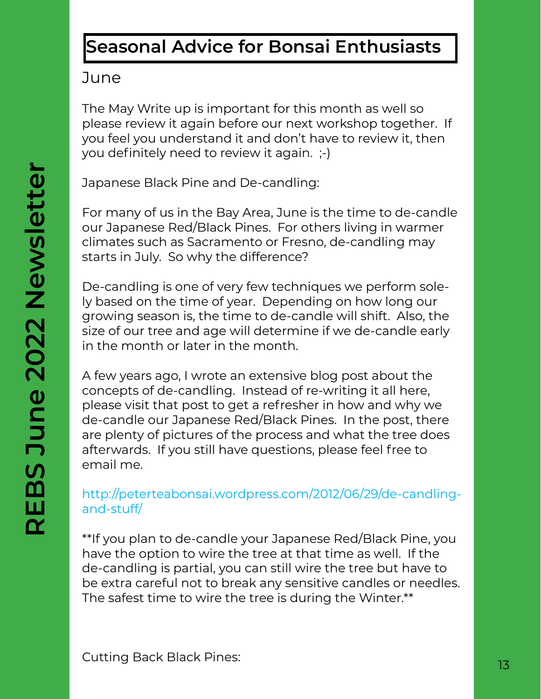# **Seasonal Advice for Bonsai Enthusiasts**

## **June**

The May Write up is important for this month as well so please review it again before our next workshop together. If you feel you understand it and don't have to review it, then you definitely need to review it again. ;-)

Japanese Black Pine and De-candling:

For many of us in the Bay Area, June is the time to de-candle our Japanese Red/Black Pines. For others living in warmer climates such as Sacramento or Fresno, de-candling may starts in July. So why the difference?

De-candling is one of very few techniques we perform solely based on the time of year. Depending on how long our growing season is, the time to de-candle will shift. Also, the size of our tree and age will determine if we de-candle early in the month or later in the month.

A few years ago, I wrote an extensive blog post about the concepts of de-candling. Instead of re-writing it all here, please visit that post to get a refresher in how and why we de-candle our Japanese Red/Black Pines. In the post, there are plenty of pictures of the process and what the tree does afterwards. If you still have questions, please feel free to email me.

### http://peterteabonsai.wordpress.com/2012/06/29/de-candlingand-stuff/

\*\*If you plan to de-candle your Japanese Red/Black Pine, you have the option to wire the tree at that time as well. If the de-candling is partial, you can still wire the tree but have to be extra careful not to break any sensitive candles or needles. The safest time to wire the tree is during the Winter.\*\*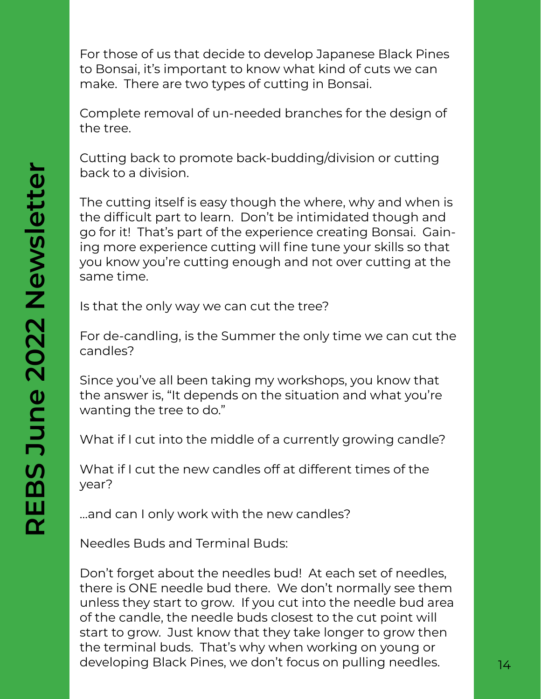For those of us that decide to develop Japanese Black Pines to Bonsai, it's important to know what kind of cuts we can make. There are two types of cutting in Bonsai.

Complete removal of un-needed branches for the design of the tree.

Cutting back to promote back-budding/division or cutting back to a division.

The cutting itself is easy though the where, why and when is the difficult part to learn. Don't be intimidated though and go for it! That's part of the experience creating Bonsai. Gaining more experience cutting will fine tune your skills so that you know you're cutting enough and not over cutting at the same time.

Is that the only way we can cut the tree?

For de-candling, is the Summer the only time we can cut the candles?

Since you've all been taking my workshops, you know that the answer is, "It depends on the situation and what you're wanting the tree to do."

What if I cut into the middle of a currently growing candle?

What if I cut the new candles off at different times of the year?

…and can I only work with the new candles?

Needles Buds and Terminal Buds:

Don't forget about the needles bud! At each set of needles, there is ONE needle bud there. We don't normally see them unless they start to grow. If you cut into the needle bud area of the candle, the needle buds closest to the cut point will start to grow. Just know that they take longer to grow then the terminal buds. That's why when working on young or developing Black Pines, we don't focus on pulling needles.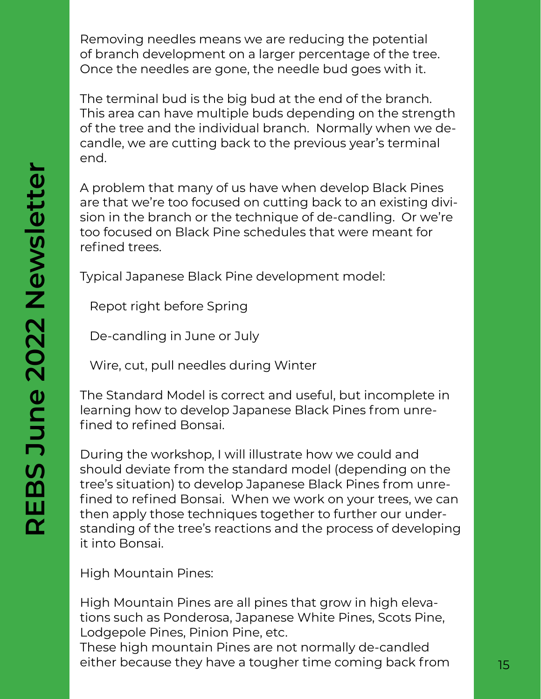Removing needles means we are reducing the potential of branch development on a larger percentage of the tree. Once the needles are gone, the needle bud goes with it.

The terminal bud is the big bud at the end of the branch. This area can have multiple buds depending on the strength of the tree and the individual branch. Normally when we decandle, we are cutting back to the previous year's terminal end.

A problem that many of us have when develop Black Pines are that we're too focused on cutting back to an existing division in the branch or the technique of de-candling. Or we're too focused on Black Pine schedules that were meant for refined trees.

Typical Japanese Black Pine development model:

Repot right before Spring

De-candling in June or July

Wire, cut, pull needles during Winter

The Standard Model is correct and useful, but incomplete in learning how to develop Japanese Black Pines from unrefined to refined Bonsai.

During the workshop, I will illustrate how we could and should deviate from the standard model (depending on the tree's situation) to develop Japanese Black Pines from unrefined to refined Bonsai. When we work on your trees, we can then apply those techniques together to further our understanding of the tree's reactions and the process of developing it into Bonsai.

High Mountain Pines:

High Mountain Pines are all pines that grow in high elevations such as Ponderosa, Japanese White Pines, Scots Pine, Lodgepole Pines, Pinion Pine, etc.

These high mountain Pines are not normally de-candled either because they have a tougher time coming back from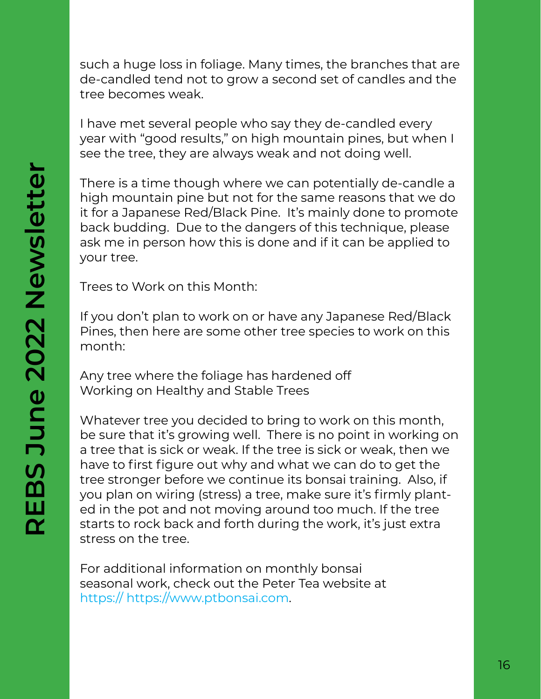such a huge loss in foliage. Many times, the branches that are de-candled tend not to grow a second set of candles and the tree becomes weak.

I have met several people who say they de-candled every year with "good results," on high mountain pines, but when I see the tree, they are always weak and not doing well.

There is a time though where we can potentially de-candle a high mountain pine but not for the same reasons that we do it for a Japanese Red/Black Pine. It's mainly done to promote back budding. Due to the dangers of this technique, please ask me in person how this is done and if it can be applied to your tree.

Trees to Work on this Month:

If you don't plan to work on or have any Japanese Red/Black Pines, then here are some other tree species to work on this month:

Any tree where the foliage has hardened off Working on Healthy and Stable Trees

Whatever tree you decided to bring to work on this month, be sure that it's growing well. There is no point in working on a tree that is sick or weak. If the tree is sick or weak, then we have to first figure out why and what we can do to get the tree stronger before we continue its bonsai training. Also, if you plan on wiring (stress) a tree, make sure it's firmly planted in the pot and not moving around too much. If the tree starts to rock back and forth during the work, it's just extra stress on the tree.

For additional information on monthly bonsai seasonal work, check out the Peter Tea website at https:// https://www.ptbonsai.com.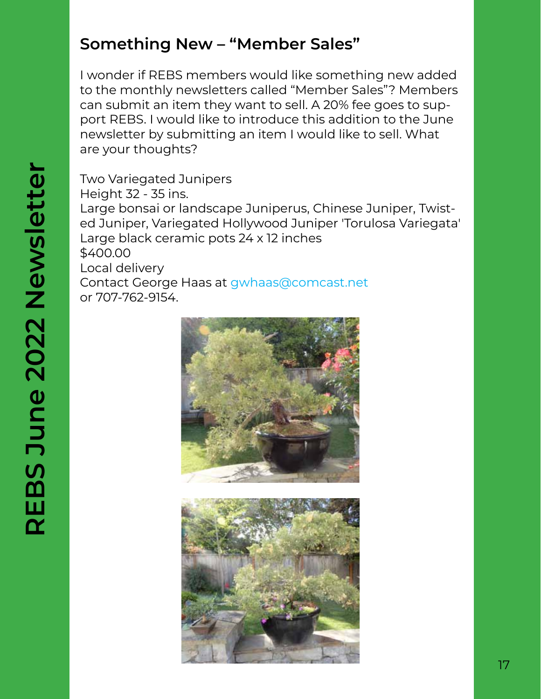## **Something New – "Member Sales"**

I wonder if REBS members would like something new added to the monthly newsletters called "Member Sales"? Members can submit an item they want to sell. A 20% fee goes to support REBS. I would like to introduce this addition to the June newsletter by submitting an item I would like to sell. What are your thoughts?

Two Variegated Junipers Height 32 - 35 ins. Large bonsai or landscape Juniperus, Chinese Juniper, Twisted Juniper, Variegated Hollywood Juniper 'Torulosa Variegata' Large black ceramic pots 24 x 12 inches \$400.00 Local delivery Contact George Haas at gwhaas@comcast.net or 707-762-9154.



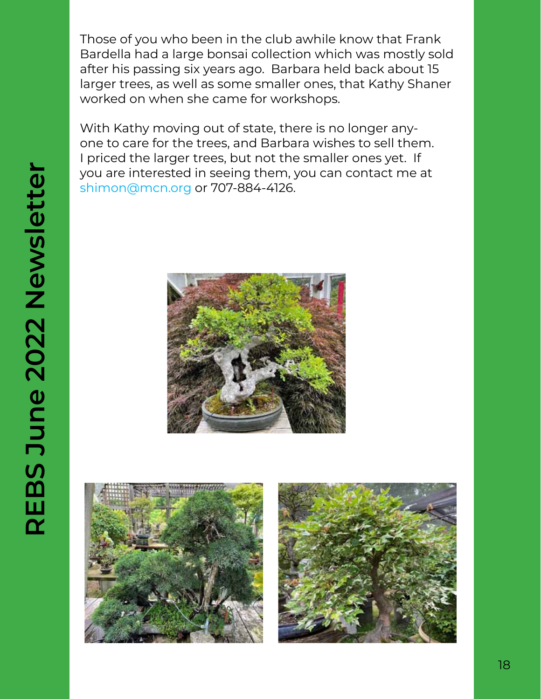Those of you who been in the club awhile know that Frank Bardella had a large bonsai collection which was mostly sold after his passing six years ago. Barbara held back about 15 larger trees, as well as some smaller ones, that Kathy Shaner worked on when she came for workshops.

With Kathy moving out of state, there is no longer anyone to care for the trees, and Barbara wishes to sell them. I priced the larger trees, but not the smaller ones yet. If you are interested in seeing them, you can contact me at shimon@mcn.org or 707-884-4126.





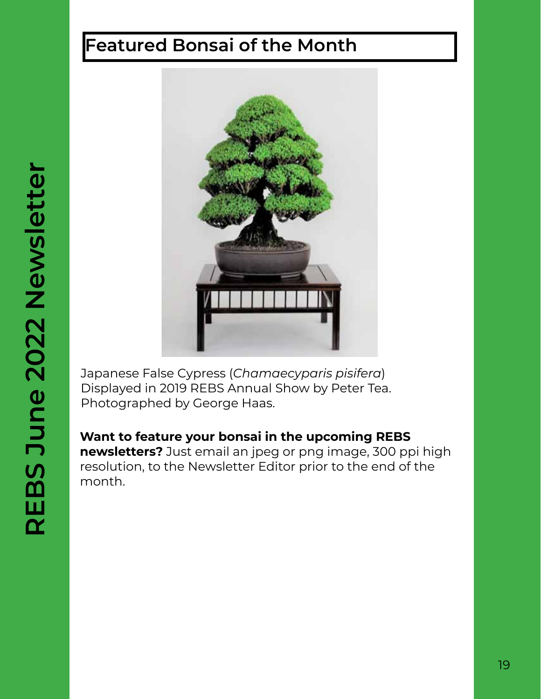# **Featured Bonsai of the Month**



Japanese False Cypress (*Chamaecyparis pisifera*) Displayed in 2019 REBS Annual Show by Peter Tea. Photographed by George Haas.

**Want to feature your bonsai in the upcoming REBS newsletters?** Just email an jpeg or png image, 300 ppi high resolution, to the Newsletter Editor prior to the end of the month.